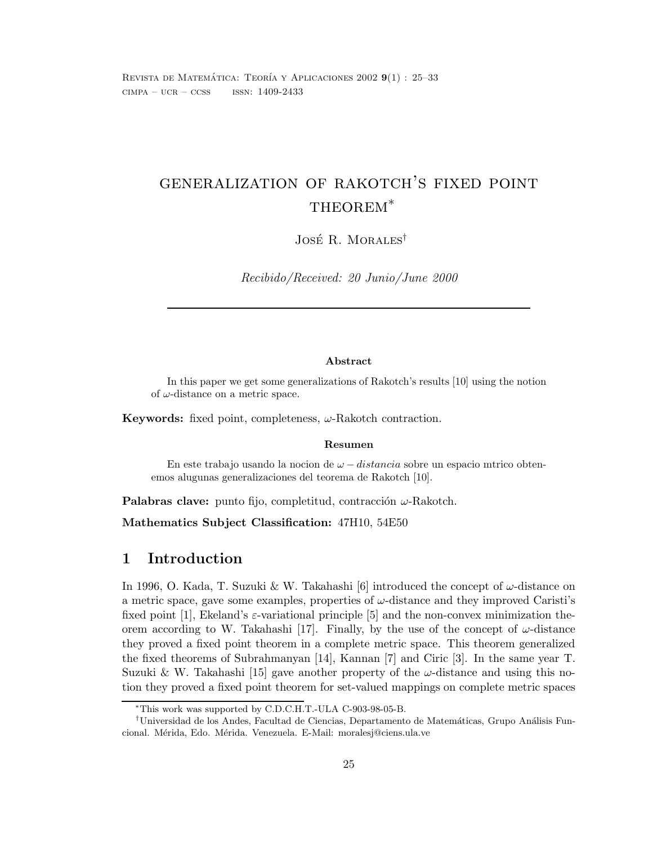REVISTA DE MATEMÁTICA: TEORÍA Y APLICACIONES 2002 **9**(1): 25-33  $CIMPA - UCR - CCSS$  ISSN:  $1409-2433$ 

# generalization of rakotch's fixed point THEOREM<sup>\*</sup>

José R. Morales<sup>†</sup>

Recibido/Received: 20 Junio/June 2000

#### **Abstract**

In this paper we get some generalizations of Rakotch's results [10] using the notion of  $\omega$ -distance on a metric space.

**Keywords:** fixed point, completeness,  $\omega$ -Rakotch contraction.

#### **Resumen**

En este trabajo usando la nocion de  $\omega$  – distancia sobre un espacio mtrico obtenemos alugunas generalizaciones del teorema de Rakotch [10].

**Palabras clave:** punto fijo, completitud, contracción  $\omega$ -Rakotch.

**Mathematics Subject Classification:** 47H10, 54E50

#### **1 Introduction**

In 1996, O. Kada, T. Suzuki & W. Takahashi [6] introduced the concept of  $\omega$ -distance on a metric space, gave some examples, properties of  $\omega$ -distance and they improved Caristi's fixed point [1], Ekeland's  $\varepsilon$ -variational principle [5] and the non-convex minimization theorem according to W. Takahashi [17]. Finally, by the use of the concept of  $\omega$ -distance they proved a fixed point theorem in a complete metric space. This theorem generalized the fixed theorems of Subrahmanyan [14], Kannan [7] and Ciric [3]. In the same year T. Suzuki & W. Takahashi [15] gave another property of the  $\omega$ -distance and using this notion they proved a fixed point theorem for set-valued mappings on complete metric spaces

<sup>∗</sup>This work was supported by C.D.C.H.T.-ULA C-903-98-05-B.

 $\dagger$ Universidad de los Andes, Facultad de Ciencias, Departamento de Matemáticas, Grupo Análisis Funcional. Mérida, Edo. Mérida. Venezuela. E-Mail: moralesj@ciens.ula.ve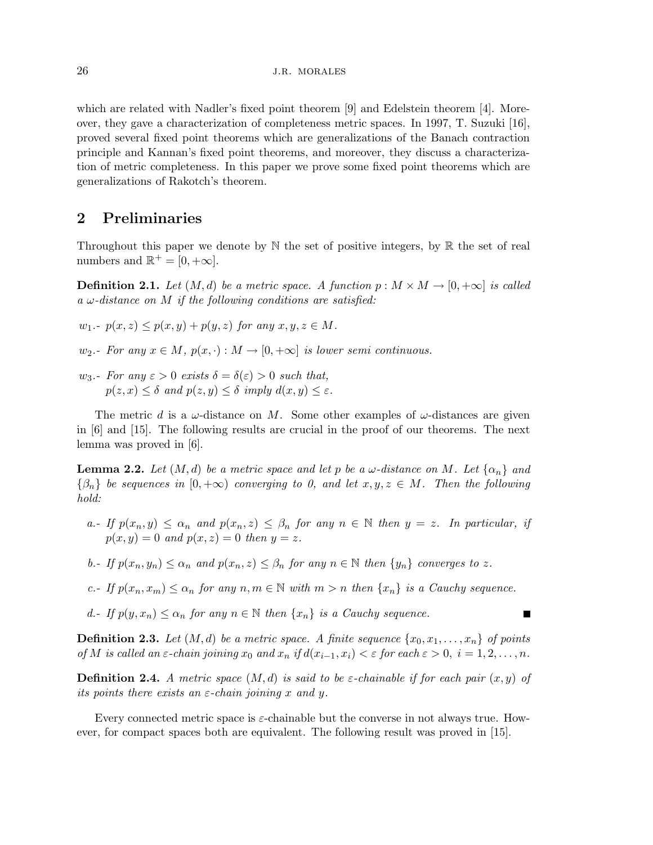which are related with Nadler's fixed point theorem [9] and Edelstein theorem [4]. Moreover, they gave a characterization of completeness metric spaces. In 1997, T. Suzuki [16], proved several fixed point theorems which are generalizations of the Banach contraction principle and Kannan's fixed point theorems, and moreover, they discuss a characterization of metric completeness. In this paper we prove some fixed point theorems which are generalizations of Rakotch's theorem.

### **2 Preliminaries**

Throughout this paper we denote by  $\mathbb N$  the set of positive integers, by  $\mathbb R$  the set of real numbers and  $\mathbb{R}^+ = [0, +\infty]$ .

**Definition 2.1.** *Let*  $(M, d)$  *be a metric space. A function*  $p : M \times M \rightarrow [0, +\infty]$  *is called a* ω*-distance on* M *if the following conditions are satisfied:*

 $w_1 - p(x, z) \leq p(x, y) + p(y, z)$  *for any*  $x, y, z \in M$ .

 $w_2$ *.- For any*  $x \in M$ ,  $p(x, \cdot) : M \to [0, +\infty]$  *is lower semi continuous.* 

w<sub>3</sub>.- For any  $\varepsilon > 0$  exists  $\delta = \delta(\varepsilon) > 0$  such that,  $p(z, x) \leq \delta$  *and*  $p(z, y) \leq \delta$  *imply*  $d(x, y) \leq \varepsilon$ *.* 

The metric d is a  $\omega$ -distance on M. Some other examples of  $\omega$ -distances are given in [6] and [15]. The following results are crucial in the proof of our theorems. The next lemma was proved in [6].

**Lemma 2.2.** Let  $(M, d)$  be a metric space and let p be a  $\omega$ -distance on M. Let  $\{\alpha_n\}$  and  $\{\beta_n\}$  *be sequences in*  $[0, +\infty)$  *converging to 0, and let*  $x, y, z \in M$ *. Then the following hold:*

- *a.- If*  $p(x_n, y) \leq \alpha_n$  *and*  $p(x_n, z) \leq \beta_n$  *for any*  $n \in \mathbb{N}$  *then*  $y = z$ *. In particular, if*  $p(x, y) = 0$  *and*  $p(x, z) = 0$  *then*  $y = z$ .
- *b.* If  $p(x_n, y_n) \leq \alpha_n$  and  $p(x_n, z) \leq \beta_n$  for any  $n \in \mathbb{N}$  then  $\{y_n\}$  converges to z.
- *c.-* If  $p(x_n, x_m) \leq \alpha_n$  *for any*  $n, m \in \mathbb{N}$  *with*  $m > n$  *then*  $\{x_n\}$  *is a Cauchy sequence.*
- *d.- If*  $p(y, x_n) \leq \alpha_n$  *for any*  $n \in \mathbb{N}$  *then*  $\{x_n\}$  *is a Cauchy sequence.*

**Definition 2.3.** Let  $(M, d)$  be a metric space. A finite sequence  $\{x_0, x_1, \ldots, x_n\}$  of points *of M is called an*  $\varepsilon$ -*chain joining*  $x_0$  *and*  $x_n$  *if*  $d(x_{i-1}, x_i) < \varepsilon$  for each  $\varepsilon > 0$ ,  $i = 1, 2, ..., n$ .

π

**Definition 2.4.** *A metric space*  $(M,d)$  *is said to be*  $\varepsilon$ *-chainable if for each pair*  $(x, y)$  *of its points there exists an* ε*-chain joining* x *and* y*.*

Every connected metric space is  $\varepsilon$ -chainable but the converse in not always true. However, for compact spaces both are equivalent. The following result was proved in [15].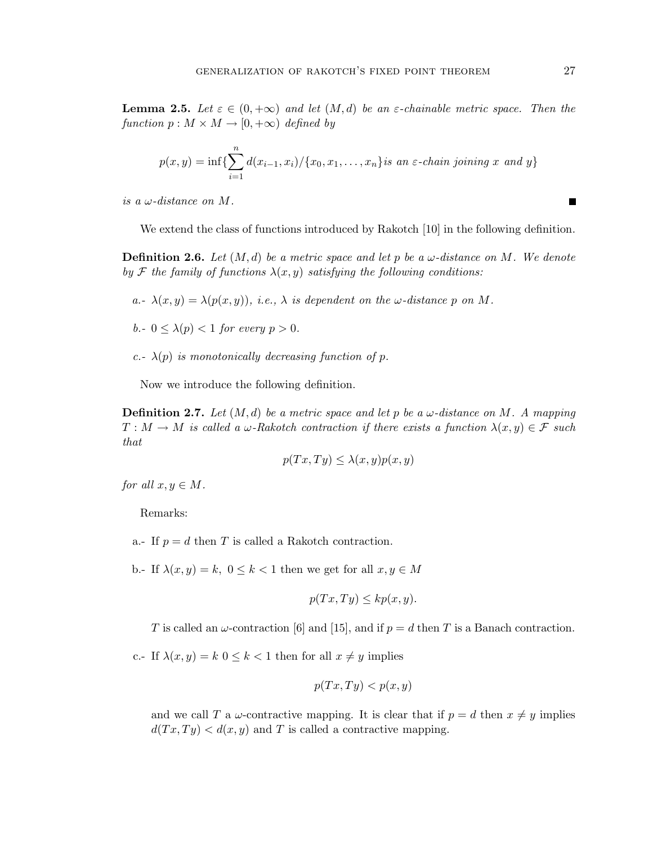**Lemma 2.5.** Let  $\varepsilon \in (0, +\infty)$  and let  $(M, d)$  be an  $\varepsilon$ -chainable metric space. Then the *function*  $p : M \times M \rightarrow [0, +\infty)$  *defined by* 

$$
p(x,y) = \inf \{ \sum_{i=1}^{n} d(x_{i-1}, x_i) / \{x_0, x_1, \dots, x_n\} \text{ is an } \varepsilon\text{-chain joining } x \text{ and } y \}
$$

*is a*  $\omega$ -distance on M.

We extend the class of functions introduced by Rakotch [10] in the following definition.

**Definition 2.6.** *Let* (M, d) *be a metric space and let* p *be a* ω*-distance on* M*. We denote by* F *the family of functions*  $\lambda(x, y)$  *satisfying the following conditions:* 

- *a.*- $\lambda(x, y) = \lambda(p(x, y))$ *, i.e.,*  $\lambda$  *is dependent on the*  $\omega$ *-distance* p *on* M.
- *b.*  $0 \leq \lambda(p) < 1$  *for every*  $p > 0$ *.*
- *c.*- $\lambda(p)$  *is monotonically decreasing function of* p.

Now we introduce the following definition.

**Definition 2.7.** Let  $(M, d)$  be a metric space and let p be a  $\omega$ -distance on M. A mapping  $T : M \to M$  *is called a*  $\omega$ -Rakotch contraction if there exists a function  $\lambda(x, y) \in \mathcal{F}$  such *that*

$$
p(Tx,Ty) \le \lambda(x,y)p(x,y)
$$

*for all*  $x, y \in M$ *.* 

Remarks:

a.- If  $p = d$  then T is called a Rakotch contraction.

b.- If  $\lambda(x, y) = k$ ,  $0 \le k < 1$  then we get for all  $x, y \in M$ 

$$
p(Tx,Ty) \leq k p(x,y).
$$

T is called an  $\omega$ -contraction [6] and [15], and if  $p = d$  then T is a Banach contraction.

c.- If  $\lambda(x, y) = k \leq k \leq 1$  then for all  $x \neq y$  implies

$$
p(Tx,Ty) < p(x,y)
$$

and we call T a  $\omega$ -contractive mapping. It is clear that if  $p = d$  then  $x \neq y$  implies  $d(Tx,Ty) < d(x,y)$  and T is called a contractive mapping.

 $\blacksquare$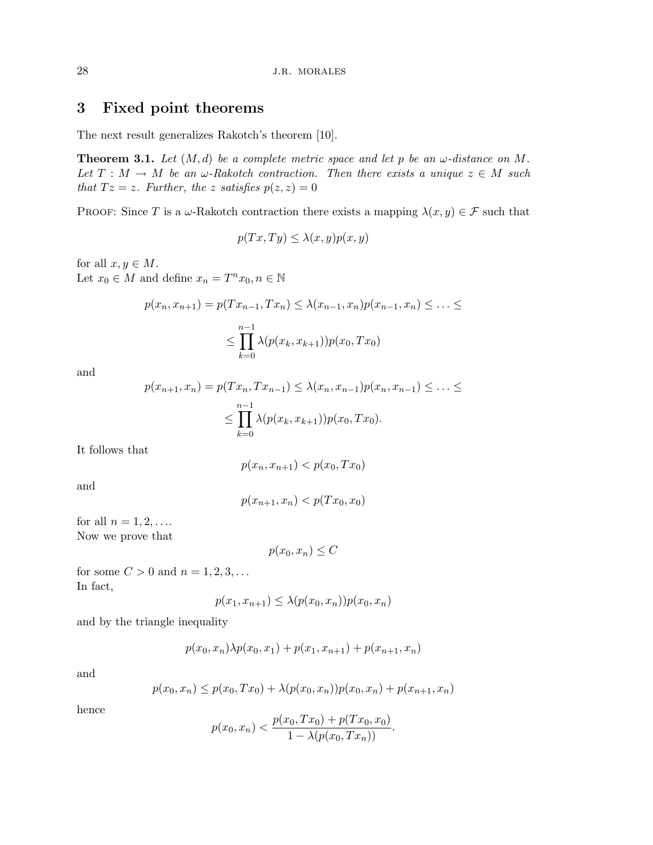## **3 Fixed point theorems**

The next result generalizes Rakotch's theorem [10].

**Theorem 3.1.** Let  $(M, d)$  be a complete metric space and let p be an  $\omega$ -distance on M. *Let*  $T : M \to M$  *be an*  $\omega$ -Rakotch contraction. Then there exists a unique  $z \in M$  *such that*  $Tz = z$ *. Further, the* z *satisfies*  $p(z, z) = 0$ 

PROOF: Since T is a  $\omega$ -Rakotch contraction there exists a mapping  $\lambda(x, y) \in \mathcal{F}$  such that

$$
p(Tx,Ty) \le \lambda(x,y)p(x,y)
$$

for all  $x, y \in M$ . Let  $x_0 \in M$  and define  $x_n = T^n x_0, n \in \mathbb{N}$ 

$$
p(x_n, x_{n+1}) = p(Tx_{n-1}, Tx_n) \le \lambda(x_{n-1}, x_n) p(x_{n-1}, x_n) \le \dots \le
$$
  

$$
\le \prod_{k=0}^{n-1} \lambda(p(x_k, x_{k+1})) p(x_0, Tx_0)
$$

and

$$
p(x_{n+1}, x_n) = p(Tx_n, Tx_{n-1}) \leq \lambda(x_n, x_{n-1}) p(x_n, x_{n-1}) \leq \ldots \leq
$$
  

$$
\leq \prod_{k=0}^{n-1} \lambda(p(x_k, x_{k+1})) p(x_0, Tx_0).
$$

It follows that

$$
p(x_n, x_{n+1}) < p(x_0, Tx_0)
$$

and

$$
p(x_{n+1}, x_n) < p(Tx_0, x_0)
$$

for all  $n = 1, 2, \ldots$ Now we prove that

 $p(x_0, x_n) \leq C$ 

for some  $C > 0$  and  $n = 1, 2, 3, \ldots$ In fact,

$$
p(x_1, x_{n+1}) \leq \lambda(p(x_0, x_n))p(x_0, x_n)
$$

and by the triangle inequality

$$
p(x_0, x_n) \lambda p(x_0, x_1) + p(x_1, x_{n+1}) + p(x_{n+1}, x_n)
$$

and

$$
p(x_0, x_n) \le p(x_0, Tx_0) + \lambda(p(x_0, x_n))p(x_0, x_n) + p(x_{n+1}, x_n)
$$

hence

$$
p(x_0, x_n) < \frac{p(x_0, Tx_0) + p(Tx_0, x_0)}{1 - \lambda(p(x_0, Tx_n))}.
$$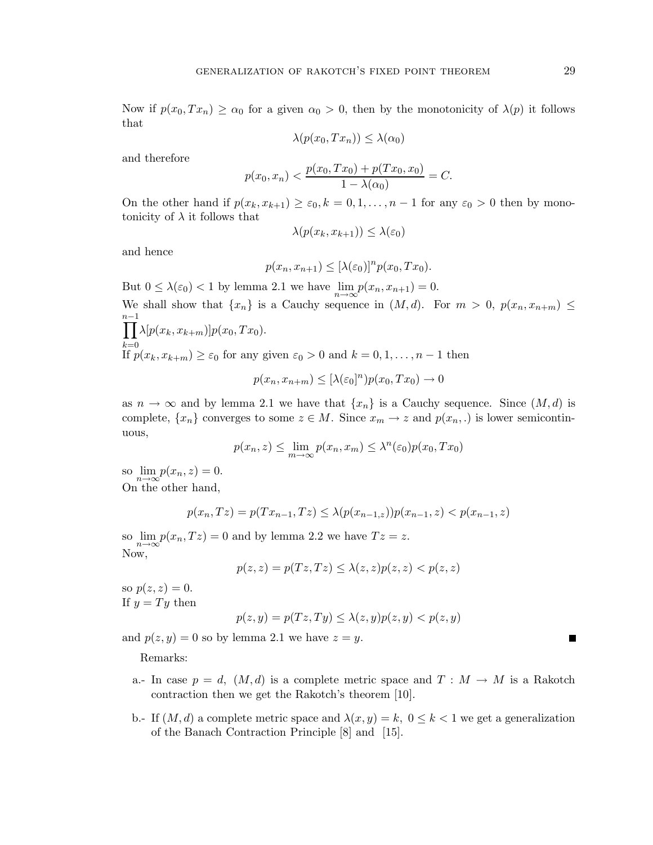$$
\lambda(p(x_0, Tx_n)) \leq \lambda(\alpha_0)
$$

and therefore

$$
p(x_0, x_n) < \frac{p(x_0, Tx_0) + p(Tx_0, x_0)}{1 - \lambda(\alpha_0)} = C.
$$

On the other hand if  $p(x_k, x_{k+1}) \geq \varepsilon_0, k = 0, 1, \ldots, n-1$  for any  $\varepsilon_0 > 0$  then by monotonicity of  $\lambda$  it follows that

$$
\lambda(p(x_k, x_{k+1})) \leq \lambda(\varepsilon_0)
$$

and hence

$$
p(x_n, x_{n+1}) \leq [\lambda(\varepsilon_0)]^n p(x_0, Tx_0).
$$

But  $0 \leq \lambda(\varepsilon_0) < 1$  by lemma 2.1 we have  $\lim_{n \to \infty} p(x_n, x_{n+1}) = 0$ . We shall show that  $\{x_n\}$  is a Cauchy sequence in  $(M, d)$ . For  $m > 0$ ,  $p(x_n, x_{n+m}) \leq$  $n-1$  ∏  $\lim_{k=0}$ <br>If  $p(x_k, x_{k+m}) \ge \varepsilon_0$  for any given  $\varepsilon_0 > 0$  and  $k = 0, 1, \ldots, n-1$  then  $\prod \lambda[p(x_k, x_{k+m})]p(x_0, Tx_0).$ 

$$
p(x_n, x_{n+m}) \leq [\lambda(\varepsilon_0]^n) p(x_0, Tx_0) \to 0
$$

as  $n \to \infty$  and by lemma 2.1 we have that  $\{x_n\}$  is a Cauchy sequence. Since  $(M, d)$  is complete,  $\{x_n\}$  converges to some  $z \in M$ . Since  $x_m \to z$  and  $p(x_n,.)$  is lower semicontinuous,

$$
p(x_n, z) \le \lim_{m \to \infty} p(x_n, x_m) \le \lambda^n(\varepsilon_0) p(x_0, Tx_0)
$$

so  $\lim_{n\to\infty}p(x_n, z) = 0.$ On the other hand,

$$
p(x_n, Tz) = p(Tx_{n-1}, Tz) \le \lambda(p(x_{n-1}, z))p(x_{n-1}, z) < p(x_{n-1}, z)
$$

so  $\lim p(x_n,Tz) = 0$  and by lemma 2.2 we have  $Tz = z$ .  $\overline{\text{Now}}$ ,

$$
p(z, z) = p(Tz, Tz) \le \lambda(z, z)p(z, z) < p(z, z)
$$

so  $p(z, z) = 0$ . If  $y = Ty$  then

$$
p(z, y) = p(Tz, Ty) \le \lambda(z, y)p(z, y) < p(z, y)
$$

and  $p(z, y) = 0$  so by lemma 2.1 we have  $z = y$ .

Remarks:

- a.- In case  $p = d$ ,  $(M, d)$  is a complete metric space and  $T : M \to M$  is a Rakotch contraction then we get the Rakotch's theorem [10].
- b.- If  $(M, d)$  a complete metric space and  $\lambda(x, y) = k$ ,  $0 \le k < 1$  we get a generalization of the Banach Contraction Principle [8] and [15].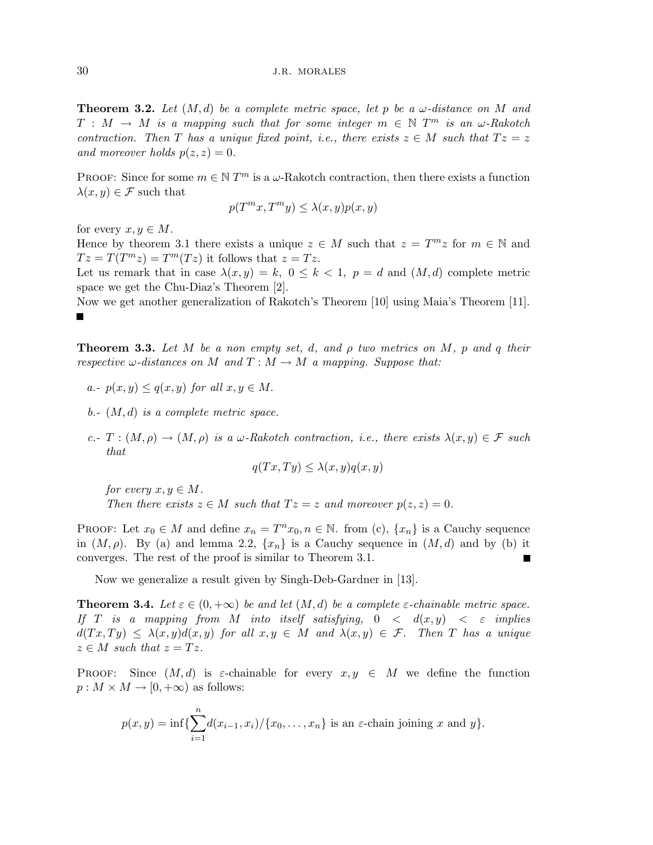**Theorem 3.2.** *Let* (M, d) *be a complete metric space, let* p *be a* ω*-distance on* M *and*  $T : M \to M$  *is a mapping such that for some integer*  $m \in \mathbb{N}$   $T^m$  *is an*  $\omega$ *-Rakotch contraction. Then* T *has a unique fixed point, i.e., there exists*  $z \in M$  *such that*  $Tz = z$ *and moreover holds*  $p(z, z) = 0$ *.* 

PROOF: Since for some  $m \in \mathbb{N}$  T<sup>m</sup> is a  $\omega$ -Rakotch contraction, then there exists a function  $\lambda(x, y) \in \mathcal{F}$  such that

$$
p(T^m x, T^m y) \le \lambda(x, y) p(x, y)
$$

for every  $x, y \in M$ .

Hence by theorem 3.1 there exists a unique  $z \in M$  such that  $z = T^{m}z$  for  $m \in \mathbb{N}$  and  $Tz = T(T^m z) = T^m(Tz)$  it follows that  $z = Tz$ .

Let us remark that in case  $\lambda(x, y) = k$ ,  $0 \le k \le 1$ ,  $p = d$  and  $(M, d)$  complete metric space we get the Chu-Diaz's Theorem [2].

Now we get another generalization of Rakotch's Theorem [10] using Maia's Theorem [11]. П

**Theorem 3.3.** *Let* M *be a non empty set,* d*, and* ρ *two metrics on* M*,* p *and* q *their respective*  $\omega$ -distances on M and  $T : M \to M$  a mapping. Suppose that:

- *a.*  $p(x, y) \leq q(x, y)$  *for all*  $x, y \in M$ .
- *b.-* (M, d) *is a complete metric space.*
- *c.*  $T : (M, \rho) \to (M, \rho)$  *is a*  $\omega$ -Rakotch contraction, *i.e.*, there exists  $\lambda(x, y) \in \mathcal{F}$  such *that*

$$
q(Tx,Ty) \leq \lambda(x,y)q(x,y)
$$

*for every*  $x, y \in M$ . *Then there exists*  $z \in M$  *such that*  $Tz = z$  *and moreover*  $p(z, z) = 0$ *.* 

PROOF: Let  $x_0 \in M$  and define  $x_n = T^n x_0, n \in \mathbb{N}$ . from (c),  $\{x_n\}$  is a Cauchy sequence in  $(M, \rho)$ . By (a) and lemma 2.2,  $\{x_n\}$  is a Cauchy sequence in  $(M, d)$  and by (b) it converges. The rest of the proof is similar to Theorem 3.1.

Now we generalize a result given by Singh-Deb-Gardner in [13].

**Theorem 3.4.** Let  $\varepsilon \in (0, +\infty)$  be and let  $(M, d)$  be a complete  $\varepsilon$ -chainable metric space. *If* T *is a mapping from* M *into itself satisfying,* 0 < d(x, y) < ε *implies*  $d(Tx, Ty) \leq \lambda(x, y)d(x, y)$  *for all*  $x, y \in M$  *and*  $\lambda(x, y) \in \mathcal{F}$ *. Then T has a unique*  $z \in M$  *such that*  $z = Tz$ .

**PROOF:** Since  $(M, d)$  is  $\varepsilon$ -chainable for every  $x, y \in M$  we define the function  $p: M \times M \to [0, +\infty)$  as follows:

$$
p(x,y) = \inf \{ \sum_{i=1}^{n} d(x_{i-1}, x_i) / \{x_0, \dots, x_n\} \text{ is an } \varepsilon\text{-chain joining } x \text{ and } y \}.
$$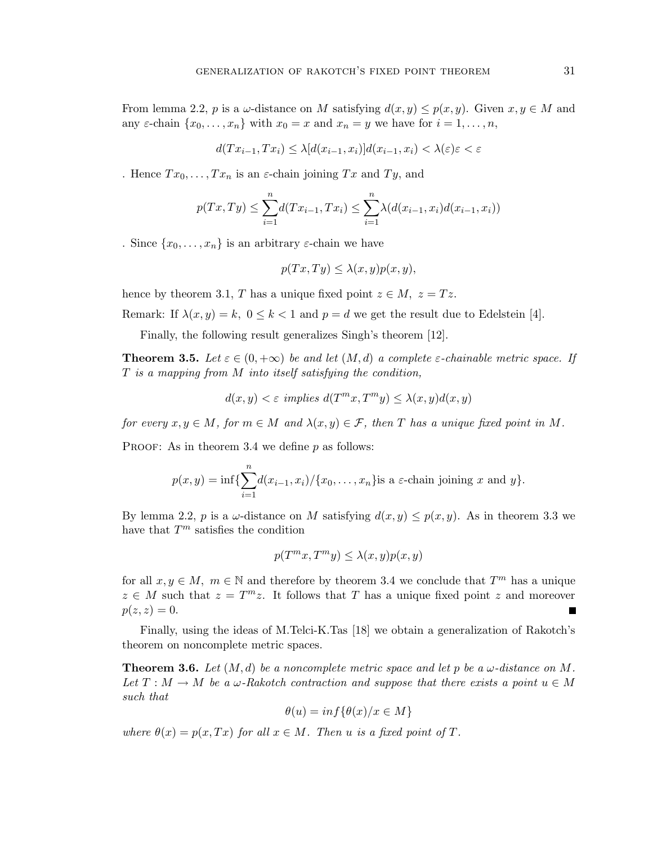From lemma 2.2, p is a  $\omega$ -distance on M satisfying  $d(x, y) \leq p(x, y)$ . Given  $x, y \in M$  and any  $\varepsilon$ -chain  $\{x_0, \ldots, x_n\}$  with  $x_0 = x$  and  $x_n = y$  we have for  $i = 1, \ldots, n$ ,

$$
d(Tx_{i-1}, Tx_i) \leq \lambda [d(x_{i-1}, x_i)]d(x_{i-1}, x_i) < \lambda(\varepsilon)\varepsilon < \varepsilon
$$

. Hence  $Tx_0, \ldots, Tx_n$  is an  $\varepsilon$ -chain joining  $Tx$  and  $Ty$ , and

$$
p(Tx,Ty) \le \sum_{i=1}^{n} d(Tx_{i-1},Tx_i) \le \sum_{i=1}^{n} \lambda(d(x_{i-1},x_i)d(x_{i-1},x_i))
$$

. Since  $\{x_0,\ldots,x_n\}$  is an arbitrary  $\varepsilon$ -chain we have

$$
p(Tx, Ty) \le \lambda(x, y)p(x, y),
$$

hence by theorem 3.1, T has a unique fixed point  $z \in M$ ,  $z = Tz$ .

Remark: If  $\lambda(x, y) = k$ ,  $0 \le k < 1$  and  $p = d$  we get the result due to Edelstein [4].

Finally, the following result generalizes Singh's theorem [12].

**Theorem 3.5.** Let  $\varepsilon \in (0, +\infty)$  be and let  $(M, d)$  a complete  $\varepsilon$ -chainable metric space. If T *is a mapping from* M *into itself satisfying the condition,*

$$
d(x, y) < \varepsilon \implies d(T^m x, T^m y) \le \lambda(x, y) d(x, y)
$$

*for every*  $x, y \in M$ *, for*  $m \in M$  *and*  $\lambda(x, y) \in \mathcal{F}$ *, then* T *has a unique fixed point in* M.

PROOF: As in theorem 3.4 we define  $p$  as follows:

$$
p(x,y) = \inf \{ \sum_{i=1}^{n} d(x_{i-1}, x_i) / \{x_0, \dots, x_n\} \text{is a } \varepsilon\text{-chain joining } x \text{ and } y \}.
$$

By lemma 2.2, p is a  $\omega$ -distance on M satisfying  $d(x, y) \leq p(x, y)$ . As in theorem 3.3 we have that  ${\cal T}^m$  satisfies the condition

$$
p(T^m x, T^m y) \le \lambda(x, y) p(x, y)
$$

for all  $x, y \in M$ ,  $m \in \mathbb{N}$  and therefore by theorem 3.4 we conclude that  $T^m$  has a unique  $z \in M$  such that  $z = T^m z$ . It follows that T has a unique fixed point z and moreover  $p(z, z) = 0.$  $\blacksquare$ 

Finally, using the ideas of M.Telci-K.Tas [18] we obtain a generalization of Rakotch's theorem on noncomplete metric spaces.

**Theorem 3.6.** Let  $(M, d)$  be a noncomplete metric space and let p be a  $\omega$ -distance on M. Let  $T : M \to M$  be a  $\omega$ -Rakotch contraction and suppose that there exists a point  $u \in M$ *such that*

$$
\theta(u) = \inf \{ \theta(x)/x \in M \}
$$

*where*  $\theta(x) = p(x, Tx)$  *for all*  $x \in M$ *. Then u is a fixed point of T.*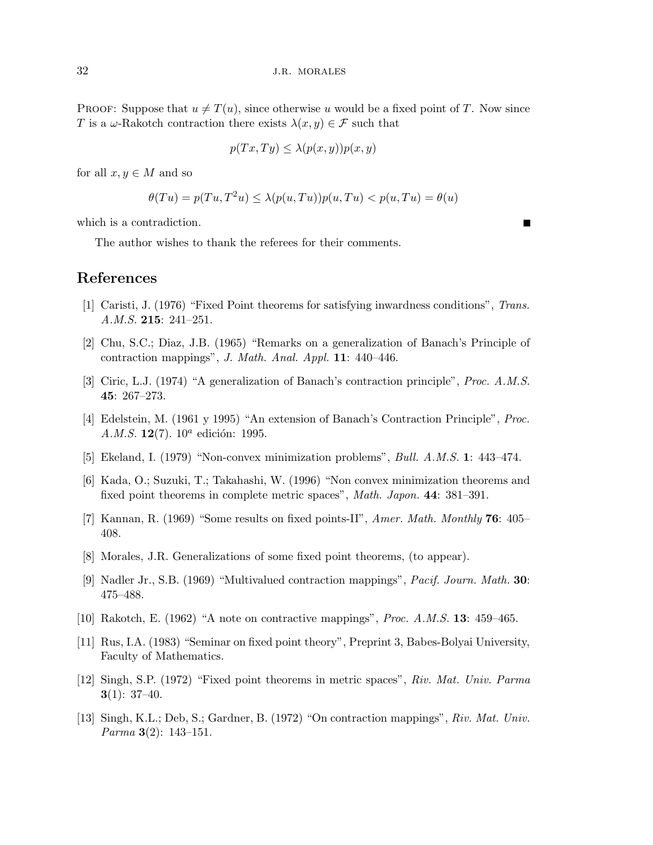PROOF: Suppose that  $u \neq T(u)$ , since otherwise u would be a fixed point of T. Now since T is a  $\omega$ -Rakotch contraction there exists  $\lambda(x, y) \in \mathcal{F}$  such that

$$
p(Tx, Ty) \le \lambda(p(x, y))p(x, y)
$$

for all  $x, y \in M$  and so

$$
\theta(Tu) = p(Tu, T^2u) \le \lambda(p(u, Tu))p(u, Tu) < p(u, Tu) = \theta(u)
$$

which is a contradiction.

The author wishes to thank the referees for their comments.

## **References**

- [1] Caristi, J. (1976) "Fixed Point theorems for satisfying inwardness conditions", *Trans. A.M.S.* **215**: 241–251.
- [2] Chu, S.C.; Diaz, J.B. (1965) "Remarks on a generalization of Banach's Principle of contraction mappings", *J. Math. Anal. Appl.* **11**: 440–446.
- [3] Ciric, L.J. (1974) "A generalization of Banach's contraction principle", *Proc. A.M.S.* **45**: 267–273.
- [4] Edelstein, M. (1961 y 1995) "An extension of Banach's Contraction Principle", *Proc. A.M.S.* **12**(7). 10<sup>*a*</sup> edición: 1995.
- [5] Ekeland, I. (1979) "Non-convex minimization problems", *Bull. A.M.S.* **1**: 443–474.
- [6] Kada, O.; Suzuki, T.; Takahashi, W. (1996) "Non convex minimization theorems and fixed point theorems in complete metric spaces", *Math. Japon.* **44**: 381–391.
- [7] Kannan, R. (1969) "Some results on fixed points-II", *Amer. Math. Monthly* **76**: 405– 408.
- [8] Morales, J.R. Generalizations of some fixed point theorems, (to appear).
- [9] Nadler Jr., S.B. (1969) "Multivalued contraction mappings", *Pacif. Journ. Math.* **30**: 475–488.
- [10] Rakotch, E. (1962) "A note on contractive mappings", *Proc. A.M.S.* **13**: 459–465.
- [11] Rus, I.A. (1983) "Seminar on fixed point theory", Preprint 3, Babes-Bolyai University, Faculty of Mathematics.
- [12] Singh, S.P. (1972) "Fixed point theorems in metric spaces", *Riv. Mat. Univ. Parma* **3**(1): 37–40.
- [13] Singh, K.L.; Deb, S.; Gardner, B. (1972) "On contraction mappings", *Riv. Mat. Univ. Parma* **3**(2): 143–151.

 $\blacksquare$